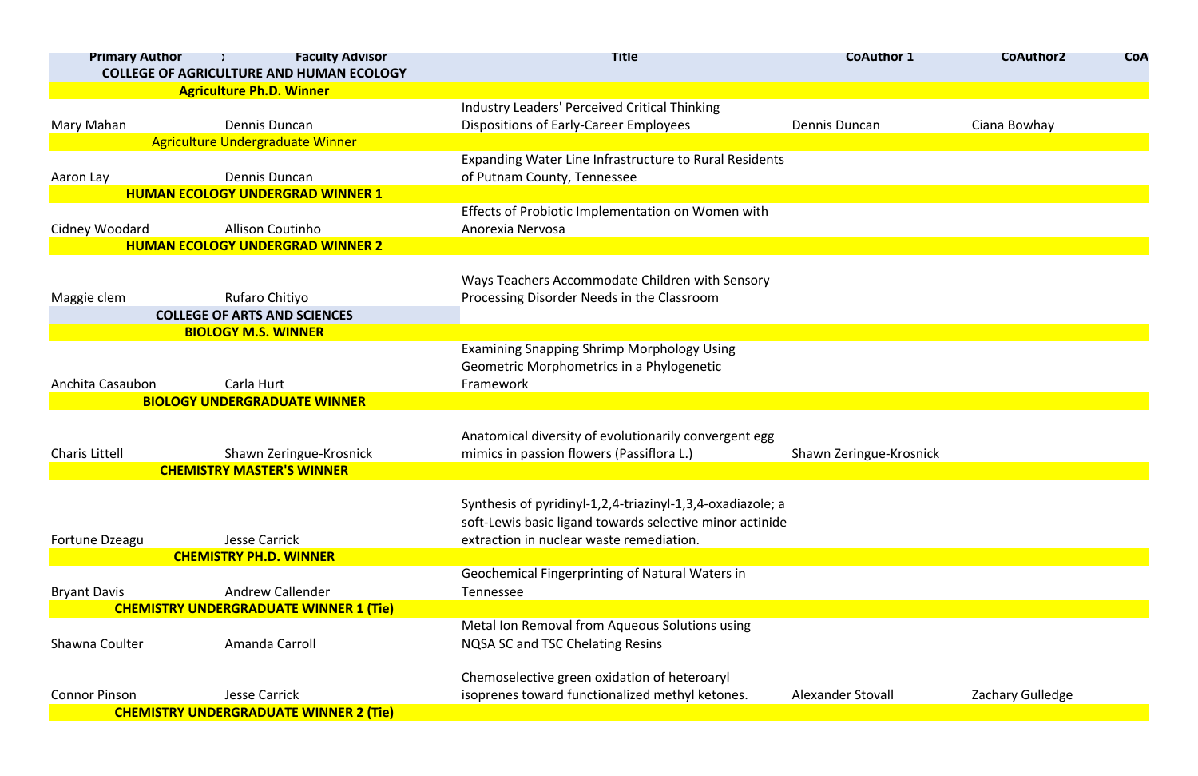| <b>Primary Author</b> | <b>Faculty Advisor</b><br><b>COLLEGE OF AGRICULTURE AND HUMAN ECOLOGY</b> | <b>Title</b>                                               | <b>CoAuthor 1</b>        | <b>CoAuthor2</b> | <b>COA</b> |
|-----------------------|---------------------------------------------------------------------------|------------------------------------------------------------|--------------------------|------------------|------------|
|                       | <b>Agriculture Ph.D. Winner</b>                                           |                                                            |                          |                  |            |
|                       |                                                                           | Industry Leaders' Perceived Critical Thinking              |                          |                  |            |
| Mary Mahan            | Dennis Duncan                                                             | <b>Dispositions of Early-Career Employees</b>              | Dennis Duncan            | Ciana Bowhay     |            |
|                       | <b>Agriculture Undergraduate Winner</b>                                   |                                                            |                          |                  |            |
|                       |                                                                           | Expanding Water Line Infrastructure to Rural Residents     |                          |                  |            |
| Aaron Lay             | Dennis Duncan                                                             | of Putnam County, Tennessee                                |                          |                  |            |
|                       | <b>HUMAN ECOLOGY UNDERGRAD WINNER 1</b>                                   |                                                            |                          |                  |            |
|                       |                                                                           | Effects of Probiotic Implementation on Women with          |                          |                  |            |
| Cidney Woodard        | <b>Allison Coutinho</b>                                                   | Anorexia Nervosa                                           |                          |                  |            |
|                       | <b>HUMAN ECOLOGY UNDERGRAD WINNER 2</b>                                   |                                                            |                          |                  |            |
|                       |                                                                           |                                                            |                          |                  |            |
|                       |                                                                           | Ways Teachers Accommodate Children with Sensory            |                          |                  |            |
| Maggie clem           | Rufaro Chitiyo                                                            | Processing Disorder Needs in the Classroom                 |                          |                  |            |
|                       | <b>COLLEGE OF ARTS AND SCIENCES</b>                                       |                                                            |                          |                  |            |
|                       | <b>BIOLOGY M.S. WINNER</b>                                                |                                                            |                          |                  |            |
|                       |                                                                           | <b>Examining Snapping Shrimp Morphology Using</b>          |                          |                  |            |
|                       |                                                                           | Geometric Morphometrics in a Phylogenetic                  |                          |                  |            |
| Anchita Casaubon      | Carla Hurt                                                                | Framework                                                  |                          |                  |            |
|                       | <b>BIOLOGY UNDERGRADUATE WINNER</b>                                       |                                                            |                          |                  |            |
|                       |                                                                           |                                                            |                          |                  |            |
|                       |                                                                           | Anatomical diversity of evolutionarily convergent egg      |                          |                  |            |
| <b>Charis Littell</b> | Shawn Zeringue-Krosnick                                                   | mimics in passion flowers (Passiflora L.)                  | Shawn Zeringue-Krosnick  |                  |            |
|                       | <b>CHEMISTRY MASTER'S WINNER</b>                                          |                                                            |                          |                  |            |
|                       |                                                                           |                                                            |                          |                  |            |
|                       |                                                                           | Synthesis of pyridinyl-1,2,4-triazinyl-1,3,4-oxadiazole; a |                          |                  |            |
|                       |                                                                           | soft-Lewis basic ligand towards selective minor actinide   |                          |                  |            |
| Fortune Dzeagu        | <b>Jesse Carrick</b>                                                      | extraction in nuclear waste remediation.                   |                          |                  |            |
|                       | <b>CHEMISTRY PH.D. WINNER</b>                                             |                                                            |                          |                  |            |
|                       |                                                                           | Geochemical Fingerprinting of Natural Waters in            |                          |                  |            |
| <b>Bryant Davis</b>   | <b>Andrew Callender</b>                                                   | Tennessee                                                  |                          |                  |            |
|                       | <b>CHEMISTRY UNDERGRADUATE WINNER 1 (Tie)</b>                             |                                                            |                          |                  |            |
|                       |                                                                           | Metal Ion Removal from Aqueous Solutions using             |                          |                  |            |
| Shawna Coulter        | Amanda Carroll                                                            | <b>NQSA SC and TSC Chelating Resins</b>                    |                          |                  |            |
|                       |                                                                           |                                                            |                          |                  |            |
|                       |                                                                           | Chemoselective green oxidation of heteroaryl               |                          |                  |            |
| <b>Connor Pinson</b>  | <b>Jesse Carrick</b>                                                      | isoprenes toward functionalized methyl ketones.            | <b>Alexander Stovall</b> | Zachary Gulledge |            |
|                       | <b>CHEMISTRY UNDERGRADUATE WINNER 2 (Tie)</b>                             |                                                            |                          |                  |            |

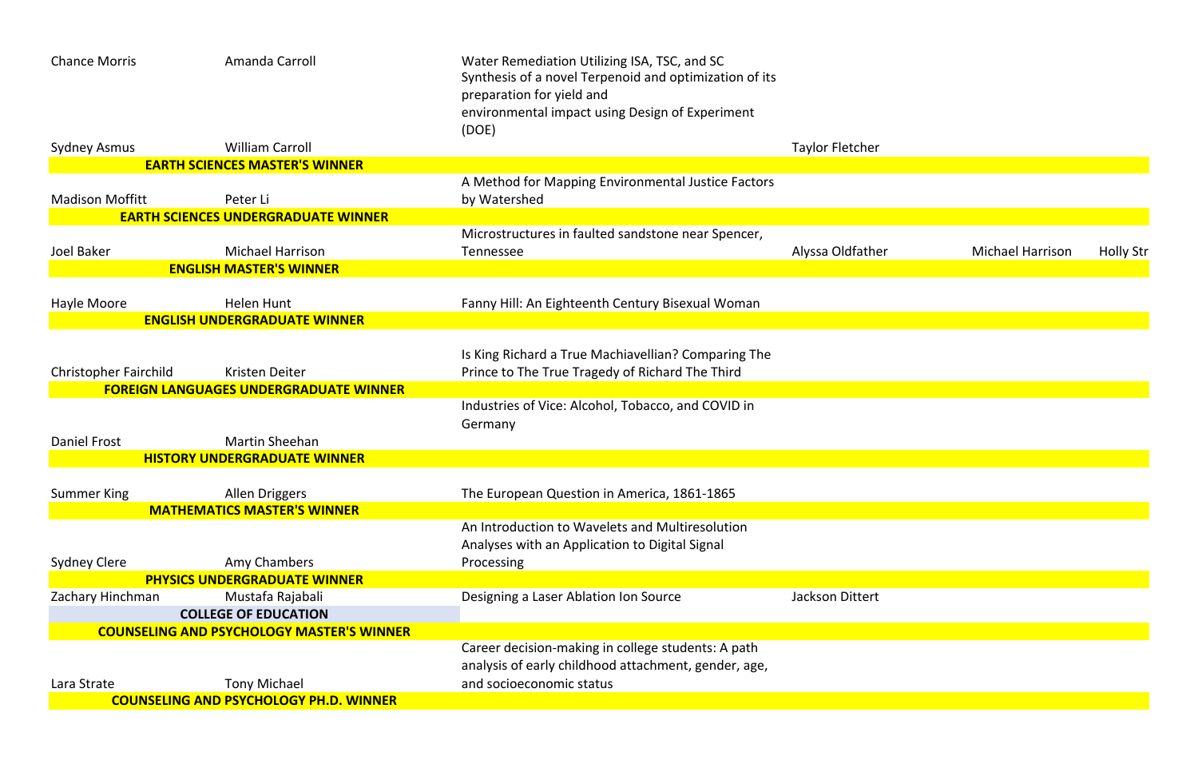

| <b>Chance Morris</b>         | Amanda Carroll                                                  | Water Remediation Utilizing ISA, TSC, and SC<br>Synthesis of a novel Terpenoid and optimization of its<br>preparation for yield and<br>environmental impact using Design of Experiment<br>(DOE) |                        |
|------------------------------|-----------------------------------------------------------------|-------------------------------------------------------------------------------------------------------------------------------------------------------------------------------------------------|------------------------|
| <b>Sydney Asmus</b>          | <b>William Carroll</b>                                          |                                                                                                                                                                                                 | <b>Taylor Fletcher</b> |
|                              | <b>EARTH SCIENCES MASTER'S WINNER</b>                           |                                                                                                                                                                                                 |                        |
|                              |                                                                 | A Method for Mapping Environmental Justice Factors                                                                                                                                              |                        |
| <b>Madison Moffitt</b>       | Peter Li                                                        | by Watershed                                                                                                                                                                                    |                        |
|                              | <b>EARTH SCIENCES UNDERGRADUATE WINNER</b>                      |                                                                                                                                                                                                 |                        |
|                              |                                                                 | Microstructures in faulted sandstone near Spencer,                                                                                                                                              |                        |
| <b>Joel Baker</b>            | <b>Michael Harrison</b>                                         | <b>Tennessee</b>                                                                                                                                                                                | Alyssa Oldfathe        |
|                              | <b>ENGLISH MASTER'S WINNER</b>                                  |                                                                                                                                                                                                 |                        |
| Hayle Moore                  | <b>Helen Hunt</b>                                               | Fanny Hill: An Eighteenth Century Bisexual Woman                                                                                                                                                |                        |
|                              | <b>ENGLISH UNDERGRADUATE WINNER</b>                             |                                                                                                                                                                                                 |                        |
| <b>Christopher Fairchild</b> | Kristen Deiter<br><b>FOREIGN LANGUAGES UNDERGRADUATE WINNER</b> | Is King Richard a True Machiavellian? Comparing The<br>Prince to The True Tragedy of Richard The Third                                                                                          |                        |
|                              |                                                                 | Industries of Vice: Alcohol, Tobacco, and COVID in<br>Germany                                                                                                                                   |                        |
| <b>Daniel Frost</b>          | <b>Martin Sheehan</b>                                           |                                                                                                                                                                                                 |                        |
|                              | <b>HISTORY UNDERGRADUATE WINNER</b>                             |                                                                                                                                                                                                 |                        |
| <b>Summer King</b>           | Allen Driggers                                                  | The European Question in America, 1861-1865                                                                                                                                                     |                        |
|                              | <b>MATHEMATICS MASTER'S WINNER</b>                              |                                                                                                                                                                                                 |                        |
|                              |                                                                 | An Introduction to Wavelets and Multiresolution                                                                                                                                                 |                        |
|                              |                                                                 | Analyses with an Application to Digital Signal                                                                                                                                                  |                        |
| <b>Sydney Clere</b>          | Amy Chambers                                                    | Processing                                                                                                                                                                                      |                        |
|                              | <b>PHYSICS UNDERGRADUATE WINNER</b>                             |                                                                                                                                                                                                 |                        |
| Zachary Hinchman             | Mustafa Rajabali                                                | Designing a Laser Ablation Ion Source                                                                                                                                                           | <b>Jackson Dittert</b> |
|                              | <b>COLLEGE OF EDUCATION</b>                                     |                                                                                                                                                                                                 |                        |
|                              | <b>COUNSELING AND PSYCHOLOGY MASTER'S WINNER</b>                | Career decision-making in college students: A path                                                                                                                                              |                        |
|                              |                                                                 | analysis of early childhood attachment, gender, age,                                                                                                                                            |                        |
| Lara Strate                  | <b>Tony Michael</b>                                             | and socioeconomic status                                                                                                                                                                        |                        |
|                              | <b>COUNSELING AND PSYCHOLOGY PH.D. WINNER</b>                   |                                                                                                                                                                                                 |                        |
|                              |                                                                 |                                                                                                                                                                                                 |                        |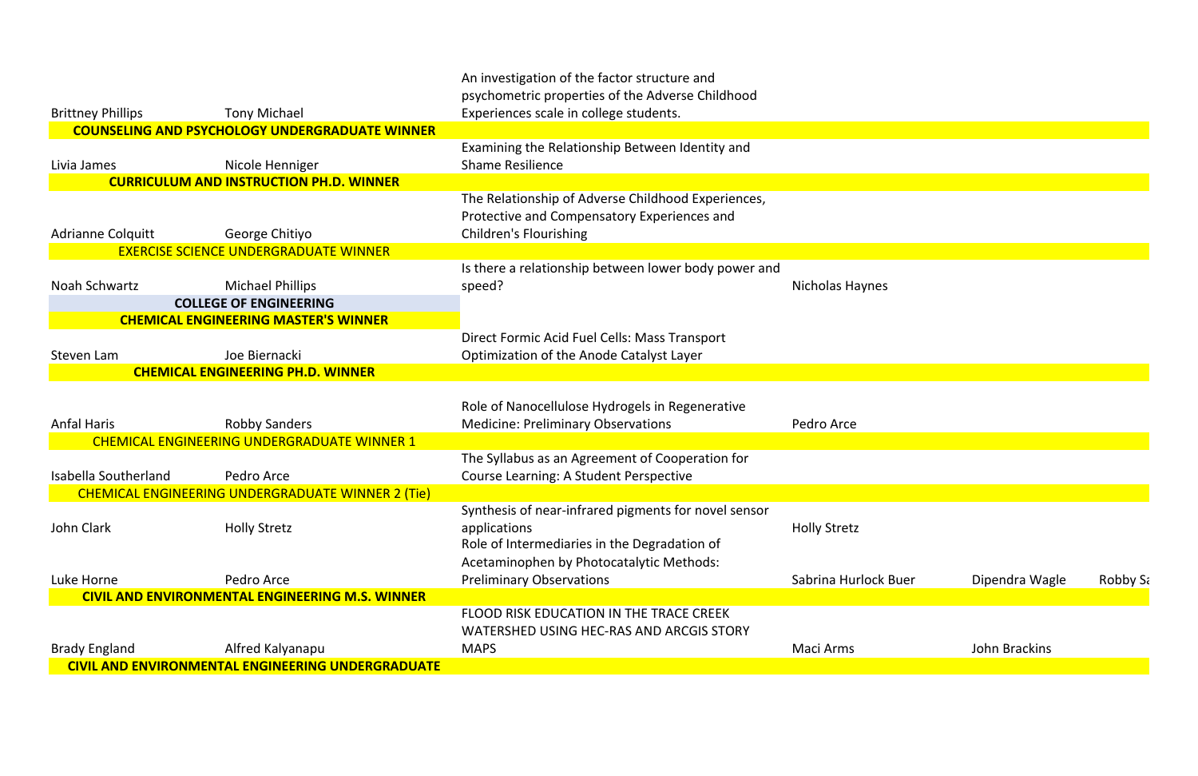|                             |                                                                     | An investigation of the factor structure and<br>psychometric properties of the Adverse Childhood |                        |
|-----------------------------|---------------------------------------------------------------------|--------------------------------------------------------------------------------------------------|------------------------|
| <b>Brittney Phillips</b>    | <b>Tony Michael</b>                                                 | Experiences scale in college students.                                                           |                        |
|                             | <b>COUNSELING AND PSYCHOLOGY UNDERGRADUATE WINNER</b>               |                                                                                                  |                        |
|                             |                                                                     | Examining the Relationship Between Identity and                                                  |                        |
| Livia James                 | Nicole Henniger                                                     | <b>Shame Resilience</b>                                                                          |                        |
|                             | <b>CURRICULUM AND INSTRUCTION PH.D. WINNER</b>                      |                                                                                                  |                        |
|                             |                                                                     | The Relationship of Adverse Childhood Experiences,                                               |                        |
|                             |                                                                     | Protective and Compensatory Experiences and                                                      |                        |
| <b>Adrianne Colquitt</b>    | George Chitiyo                                                      | <b>Children's Flourishing</b>                                                                    |                        |
|                             | <b>EXERCISE SCIENCE UNDERGRADUATE WINNER</b>                        |                                                                                                  |                        |
|                             |                                                                     | Is there a relationship between lower body power and                                             |                        |
| Noah Schwartz               | <b>Michael Phillips</b>                                             | speed?                                                                                           | <b>Nicholas Haynes</b> |
|                             | <b>COLLEGE OF ENGINEERING</b>                                       |                                                                                                  |                        |
|                             | <b>CHEMICAL ENGINEERING MASTER'S WINNER</b>                         |                                                                                                  |                        |
|                             |                                                                     | Direct Formic Acid Fuel Cells: Mass Transport                                                    |                        |
| Steven Lam                  | Joe Biernacki                                                       | Optimization of the Anode Catalyst Layer                                                         |                        |
|                             | <b>CHEMICAL ENGINEERING PH.D. WINNER</b>                            |                                                                                                  |                        |
|                             |                                                                     |                                                                                                  |                        |
|                             |                                                                     | Role of Nanocellulose Hydrogels in Regenerative                                                  |                        |
| <b>Anfal Haris</b>          | <b>Robby Sanders</b><br>CHEMICAL ENGINEERING UNDERGRADUATE WINNER 1 | <b>Medicine: Preliminary Observations</b>                                                        | Pedro Arce             |
|                             |                                                                     | The Syllabus as an Agreement of Cooperation for                                                  |                        |
| <b>Isabella Southerland</b> | Pedro Arce                                                          | <b>Course Learning: A Student Perspective</b>                                                    |                        |
|                             | CHEMICAL ENGINEERING UNDERGRADUATE WINNER 2 (Tie)                   |                                                                                                  |                        |
|                             |                                                                     | Synthesis of near-infrared pigments for novel sensor                                             |                        |
| John Clark                  | <b>Holly Stretz</b>                                                 | applications                                                                                     | <b>Holly Stretz</b>    |
|                             |                                                                     | Role of Intermediaries in the Degradation of                                                     |                        |
|                             |                                                                     | Acetaminophen by Photocatalytic Methods:                                                         |                        |
| Luke Horne                  | Pedro Arce                                                          | <b>Preliminary Observations</b>                                                                  | Sabrina Hurlock        |
|                             | <b>CIVIL AND ENVIRONMENTAL ENGINEERING M.S. WINNER</b>              |                                                                                                  |                        |
|                             |                                                                     | FLOOD RISK EDUCATION IN THE TRACE CREEK                                                          |                        |
|                             |                                                                     | <b>WATERSHED USING HEC-RAS AND ARCGIS STORY</b>                                                  |                        |
| <b>Brady England</b>        | Alfred Kalyanapu                                                    | <b>MAPS</b>                                                                                      | Maci Arms              |
|                             | <b>CIVIL AND ENVIRONMENTAL ENGINEERING UNDERGRADUATE</b>            |                                                                                                  |                        |

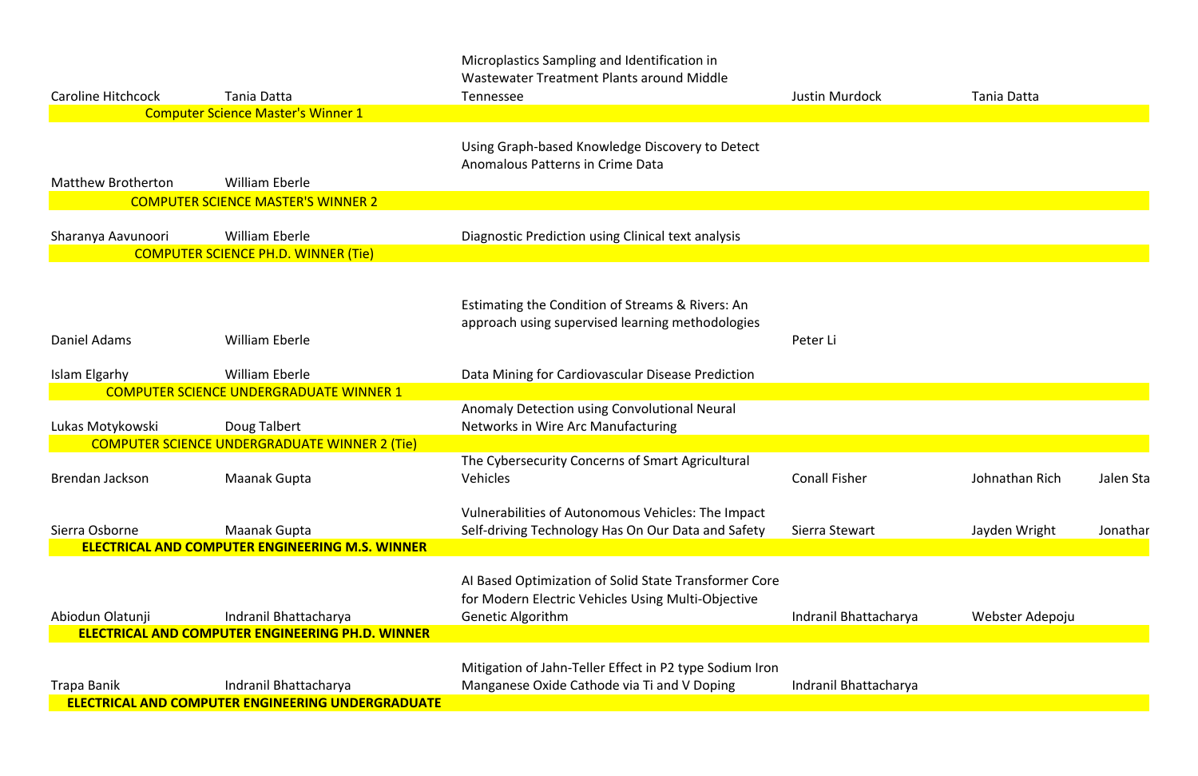|                           |                                                                                   | Microplastics Sampling and Identification in<br>Wastewater Treatment Plants around Middle                                        |                       |                 |           |
|---------------------------|-----------------------------------------------------------------------------------|----------------------------------------------------------------------------------------------------------------------------------|-----------------------|-----------------|-----------|
| <b>Caroline Hitchcock</b> | Tania Datta                                                                       | <b>Tennessee</b>                                                                                                                 | <b>Justin Murdock</b> | Tania Datta     |           |
|                           | <b>Computer Science Master's Winner 1</b>                                         |                                                                                                                                  |                       |                 |           |
| <b>Matthew Brotherton</b> | <b>William Eberle</b>                                                             | Using Graph-based Knowledge Discovery to Detect<br>Anomalous Patterns in Crime Data                                              |                       |                 |           |
|                           | <b>COMPUTER SCIENCE MASTER'S WINNER 2</b>                                         |                                                                                                                                  |                       |                 |           |
|                           |                                                                                   |                                                                                                                                  |                       |                 |           |
| Sharanya Aavunoori        | <b>William Eberle</b><br><b>COMPUTER SCIENCE PH.D. WINNER (Tie)</b>               | Diagnostic Prediction using Clinical text analysis                                                                               |                       |                 |           |
|                           |                                                                                   |                                                                                                                                  |                       |                 |           |
| Daniel Adams              | <b>William Eberle</b>                                                             | Estimating the Condition of Streams & Rivers: An<br>approach using supervised learning methodologies                             | Peter Li              |                 |           |
| Islam Elgarhy             | <b>William Eberle</b>                                                             | Data Mining for Cardiovascular Disease Prediction                                                                                |                       |                 |           |
|                           | <b>COMPUTER SCIENCE UNDERGRADUATE WINNER 1</b>                                    |                                                                                                                                  |                       |                 |           |
| Lukas Motykowski          | Doug Talbert                                                                      | Anomaly Detection using Convolutional Neural<br>Networks in Wire Arc Manufacturing                                               |                       |                 |           |
|                           | <b>COMPUTER SCIENCE UNDERGRADUATE WINNER 2 (Tie)</b>                              |                                                                                                                                  |                       |                 |           |
| Brendan Jackson           | <b>Maanak Gupta</b>                                                               | The Cybersecurity Concerns of Smart Agricultural<br>Vehicles                                                                     | <b>Conall Fisher</b>  | Johnathan Rich  | Jalen Sta |
| Sierra Osborne            | <b>Maanak Gupta</b>                                                               | Vulnerabilities of Autonomous Vehicles: The Impact<br>Self-driving Technology Has On Our Data and Safety                         | Sierra Stewart        | Jayden Wright   | Jonathar  |
|                           | <b>ELECTRICAL AND COMPUTER ENGINEERING M.S. WINNER</b>                            |                                                                                                                                  |                       |                 |           |
| Abiodun Olatunji          | Indranil Bhattacharya<br><b>ELECTRICAL AND COMPUTER ENGINEERING PH.D. WINNER</b>  | Al Based Optimization of Solid State Transformer Core<br>for Modern Electric Vehicles Using Multi-Objective<br>Genetic Algorithm | Indranil Bhattacharya | Webster Adepoju |           |
| Trapa Banik               | Indranil Bhattacharya<br><b>ELECTRICAL AND COMPUTER ENGINEERING UNDERGRADUATE</b> | Mitigation of Jahn-Teller Effect in P2 type Sodium Iron<br>Manganese Oxide Cathode via Ti and V Doping                           | Indranil Bhattacharya |                 |           |

| n Murdock         | <b>Tania Datta</b> |           |
|-------------------|--------------------|-----------|
|                   |                    |           |
|                   |                    |           |
|                   |                    |           |
|                   |                    |           |
|                   |                    |           |
|                   |                    |           |
|                   |                    |           |
|                   |                    |           |
| r Li              |                    |           |
|                   |                    |           |
|                   |                    |           |
|                   |                    |           |
| all Fisher        | Johnathan Rich     | Jalen Sta |
| a Stewart         | Jayden Wright      | Jonathar  |
|                   |                    |           |
|                   |                    |           |
| anil Bhattacharya | Webster Adepoju    |           |
|                   |                    |           |
| anil Bhattacharya |                    |           |
|                   |                    |           |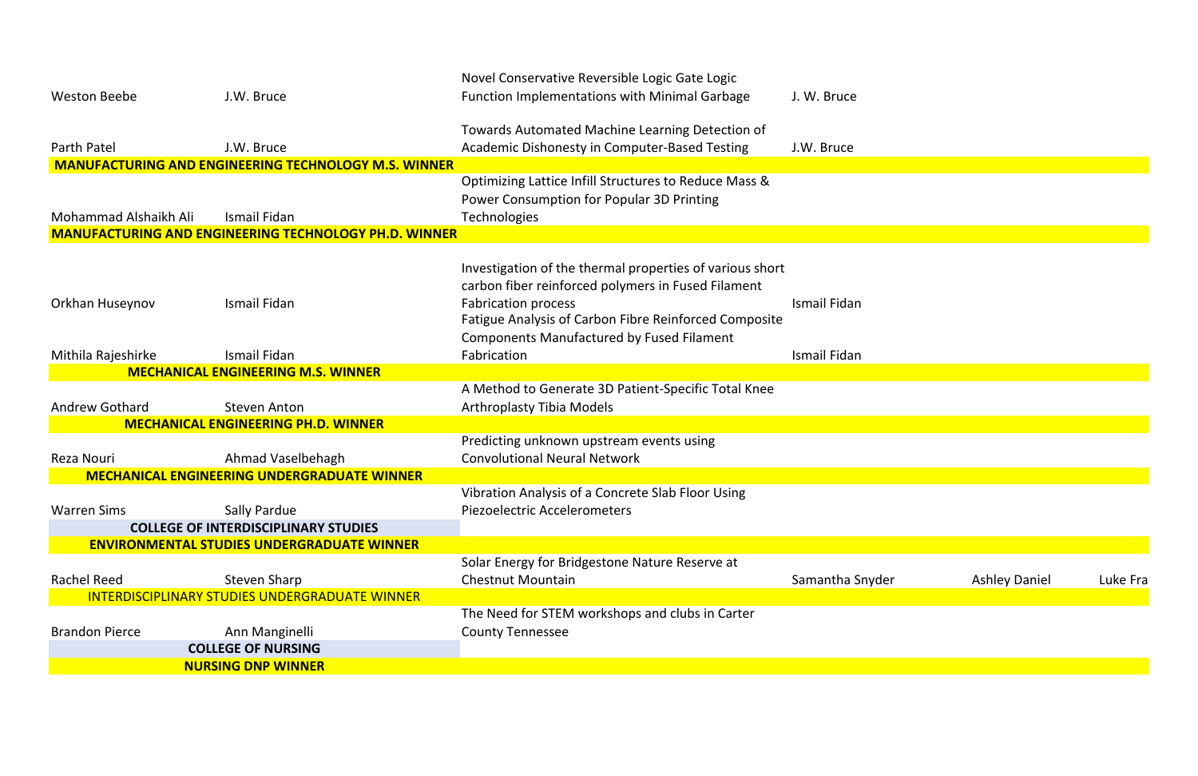|                       |                                                              | Novel Conservative Reversible Logic Gate Logic                                      |              |
|-----------------------|--------------------------------------------------------------|-------------------------------------------------------------------------------------|--------------|
| <b>Weston Beebe</b>   | J.W. Bruce                                                   | <b>Function Implementations with Minimal Garbage</b>                                | J. W. Bruce  |
|                       |                                                              | Towards Automated Machine Learning Detection of                                     |              |
| <b>Parth Patel</b>    | J.W. Bruce                                                   | <b>Academic Dishonesty in Computer-Based Testing</b>                                | J.W. Bruce   |
|                       | <b>MANUFACTURING AND ENGINEERING TECHNOLOGY M.S. WINNER</b>  |                                                                                     |              |
|                       |                                                              | Optimizing Lattice Infill Structures to Reduce Mass &                               |              |
|                       |                                                              | Power Consumption for Popular 3D Printing                                           |              |
| Mohammad Alshaikh Ali | <b>Ismail Fidan</b>                                          | <b>Technologies</b>                                                                 |              |
|                       | <b>MANUFACTURING AND ENGINEERING TECHNOLOGY PH.D. WINNER</b> |                                                                                     |              |
|                       |                                                              |                                                                                     |              |
|                       |                                                              | Investigation of the thermal properties of various short                            |              |
|                       |                                                              | carbon fiber reinforced polymers in Fused Filament                                  |              |
|                       | Ismail Fidan                                                 |                                                                                     | Ismail Fidan |
| Orkhan Huseynov       |                                                              | <b>Fabrication process</b><br>Fatigue Analysis of Carbon Fibre Reinforced Composite |              |
|                       |                                                              |                                                                                     |              |
|                       |                                                              | <b>Components Manufactured by Fused Filament</b>                                    |              |
| Mithila Rajeshirke    | Ismail Fidan                                                 | Fabrication                                                                         | Ismail Fidan |
|                       | <b>MECHANICAL ENGINEERING M.S. WINNER</b>                    |                                                                                     |              |
|                       |                                                              | A Method to Generate 3D Patient-Specific Total Knee                                 |              |
| <b>Andrew Gothard</b> | <b>Steven Anton</b>                                          | <b>Arthroplasty Tibia Models</b>                                                    |              |
|                       | <b>MECHANICAL ENGINEERING PH.D. WINNER</b>                   |                                                                                     |              |
|                       |                                                              | Predicting unknown upstream events using                                            |              |
| Reza Nouri            | Ahmad Vaselbehagh                                            | <b>Convolutional Neural Network</b>                                                 |              |
|                       | <b>MECHANICAL ENGINEERING UNDERGRADUATE WINNER</b>           |                                                                                     |              |
|                       |                                                              | Vibration Analysis of a Concrete Slab Floor Using                                   |              |
| <b>Warren Sims</b>    | <b>Sally Pardue</b>                                          | Piezoelectric Accelerometers                                                        |              |
|                       | <b>COLLEGE OF INTERDISCIPLINARY STUDIES</b>                  |                                                                                     |              |
|                       | <b>ENVIRONMENTAL STUDIES UNDERGRADUATE WINNER</b>            |                                                                                     |              |
|                       |                                                              | Solar Energy for Bridgestone Nature Reserve at                                      |              |
| <b>Rachel Reed</b>    | <b>Steven Sharp</b>                                          | <b>Chestnut Mountain</b>                                                            | Samantha Sny |
|                       | INTERDISCIPLINARY STUDIES UNDERGRADUATE WINNER               |                                                                                     |              |
|                       |                                                              | The Need for STEM workshops and clubs in Carter                                     |              |
| <b>Brandon Pierce</b> | Ann Manginelli                                               | <b>County Tennessee</b>                                                             |              |
|                       | <b>COLLEGE OF NURSING</b>                                    |                                                                                     |              |
|                       | <b>NURSING DNP WINNER</b>                                    |                                                                                     |              |